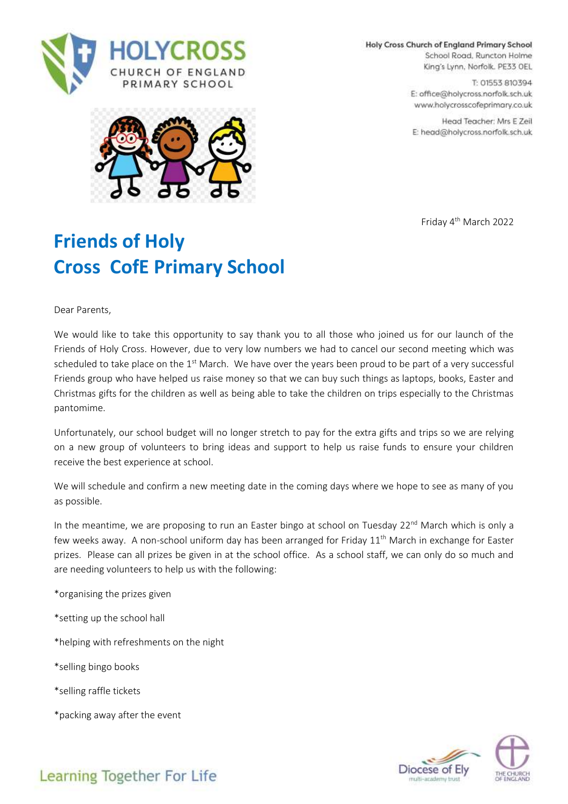

Holy Cross Church of England Primary School

School Road, Runcton Holme King's Lynn, Norfolk. PE33 OEL

T: 01553 810394 E: office@holycross.norfolk.sch.uk www.holycrosscofeprimary.co.uk

Head Teacher: Mrs E Zeil E: head@holycross.norfolk.sch.uk



Friday 4 th March 2022

## **Friends of Holy Cross CofE Primary School**

Dear Parents,

We would like to take this opportunity to say thank you to all those who joined us for our launch of the Friends of Holy Cross. However, due to very low numbers we had to cancel our second meeting which was scheduled to take place on the 1<sup>st</sup> March. We have over the years been proud to be part of a very successful Friends group who have helped us raise money so that we can buy such things as laptops, books, Easter and Christmas gifts for the children as well as being able to take the children on trips especially to the Christmas pantomime.

Unfortunately, our school budget will no longer stretch to pay for the extra gifts and trips so we are relying on a new group of volunteers to bring ideas and support to help us raise funds to ensure your children receive the best experience at school.

We will schedule and confirm a new meeting date in the coming days where we hope to see as many of you as possible.

In the meantime, we are proposing to run an Easter bingo at school on Tuesday 22<sup>nd</sup> March which is only a few weeks away. A non-school uniform day has been arranged for Friday 11<sup>th</sup> March in exchange for Easter prizes. Please can all prizes be given in at the school office. As a school staff, we can only do so much and are needing volunteers to help us with the following:

- \*organising the prizes given
- \*setting up the school hall
- \*helping with refreshments on the night
- \*selling bingo books
- \*selling raffle tickets
- \*packing away after the event